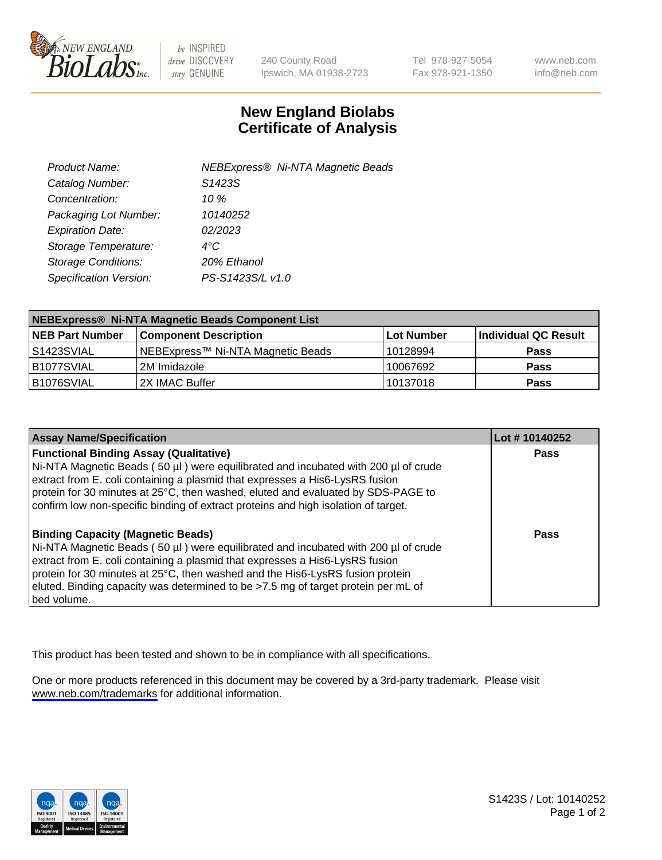

be INSPIRED drive DISCOVERY stay GENUINE

240 County Road Ipswich, MA 01938-2723 Tel 978-927-5054 Fax 978-921-1350

www.neb.com info@neb.com

## **New England Biolabs Certificate of Analysis**

| Product Name:              | <b>NEBExpress® Ni-NTA Magnetic Beads</b> |
|----------------------------|------------------------------------------|
| Catalog Number:            | S1423S                                   |
| Concentration:             | 10 %                                     |
| Packaging Lot Number:      | 10140252                                 |
| <b>Expiration Date:</b>    | 02/2023                                  |
| Storage Temperature:       | $4^{\circ}$ C                            |
| <b>Storage Conditions:</b> | 20% Ethanol                              |
| Specification Version:     | PS-S1423S/L v1.0                         |
|                            |                                          |

| NEBExpress® Ni-NTA Magnetic Beads Component List |                                    |            |                      |  |
|--------------------------------------------------|------------------------------------|------------|----------------------|--|
| <b>NEB Part Number</b>                           | <b>Component Description</b>       | Lot Number | Individual QC Result |  |
| l S1423SVIAL                                     | INEBExpress™ Ni-NTA Magnetic Beads | 10128994   | <b>Pass</b>          |  |
| B1077SVIAL                                       | l 2M Imidazole.                    | 10067692   | <b>Pass</b>          |  |
| B1076SVIAL                                       | 2X IMAC Buffer                     | 10137018   | <b>Pass</b>          |  |

| <b>Assay Name/Specification</b>                                                                                                                                                                                                                                                                                                                                                                     | Lot #10140252 |
|-----------------------------------------------------------------------------------------------------------------------------------------------------------------------------------------------------------------------------------------------------------------------------------------------------------------------------------------------------------------------------------------------------|---------------|
| <b>Functional Binding Assay (Qualitative)</b><br>Ni-NTA Magnetic Beads (50 µl) were equilibrated and incubated with 200 µl of crude<br>extract from E. coli containing a plasmid that expresses a His6-LysRS fusion<br>protein for 30 minutes at 25°C, then washed, eluted and evaluated by SDS-PAGE to<br>confirm low non-specific binding of extract proteins and high isolation of target.       | <b>Pass</b>   |
| <b>Binding Capacity (Magnetic Beads)</b><br>Ni-NTA Magnetic Beads (50 µl) were equilibrated and incubated with 200 µl of crude<br>extract from E. coli containing a plasmid that expresses a His6-LysRS fusion<br>protein for 30 minutes at 25°C, then washed and the His6-LysRS fusion protein<br>eluted. Binding capacity was determined to be >7.5 mg of target protein per mL of<br>bed volume. | Pass          |

This product has been tested and shown to be in compliance with all specifications.

One or more products referenced in this document may be covered by a 3rd-party trademark. Please visit <www.neb.com/trademarks>for additional information.